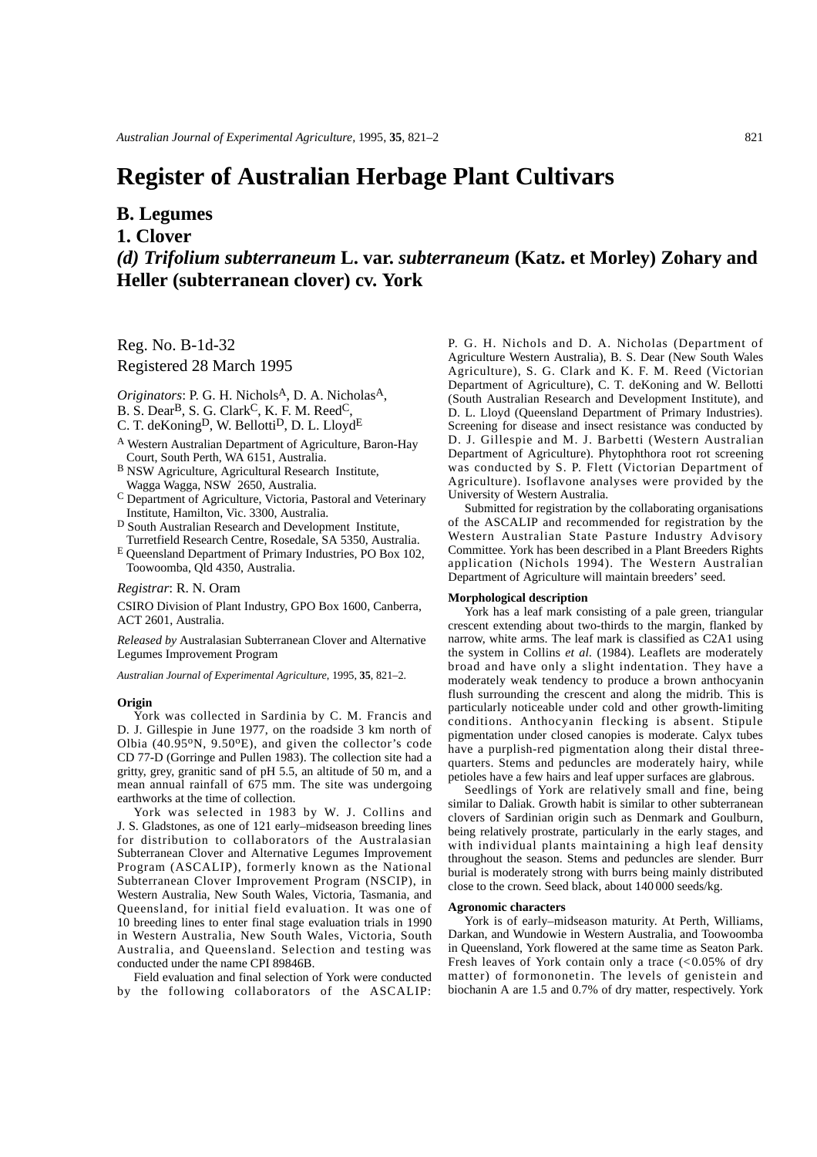# **Register of Australian Herbage Plant Cultivars**

## **B. Legumes**

**1. Clover**

### *(d) Trifolium subterraneum* **L. var.** *subterraneum* **(Katz. et Morley) Zohary and Heller (subterranean clover) cv. York**

Reg. No. B-1d-32 Registered 28 March 1995

*Originators*: P. G. H. NicholsA, D. A. NicholasA,

B. S. Dear<sup>B</sup>, S. G. Clark<sup>C</sup>, K. F. M. Reed<sup>C</sup>,

C. T. deKoning<sup>D</sup>, W. Bellotti<sup>D</sup>, D. L. Lloyd<sup>E</sup>

- <sup>A</sup> Western Australian Department of Agriculture, Baron-Hay Court, South Perth, WA 6151, Australia.
- <sup>B</sup> NSW Agriculture, Agricultural Research Institute, Wagga Wagga, NSW 2650, Australia.
- <sup>C</sup> Department of Agriculture, Victoria, Pastoral and Veterinary Institute, Hamilton, Vic. 3300, Australia.
- D South Australian Research and Development Institute, Turretfield Research Centre, Rosedale, SA 5350, Australia.
- <sup>E</sup> Queensland Department of Primary Industries, PO Box 102, Toowoomba, Qld 4350, Australia.

### *Registrar*: R. N. Oram

CSIRO Division of Plant Industry, GPO Box 1600, Canberra, ACT 2601, Australia.

*Released by* Australasian Subterranean Clover and Alternative Legumes Improvement Program

*Australian Journal of Experimental Agriculture*, 1995, **35**, 821–2.

#### **Origin**

York was collected in Sardinia by C. M. Francis and D. J. Gillespie in June 1977, on the roadside 3 km north of Olbia  $(40.95^{\circ}N, 9.50^{\circ}E)$ , and given the collector's code CD 77-D (Gorringe and Pullen 1983). The collection site had a gritty, grey, granitic sand of pH 5.5, an altitude of 50 m, and a mean annual rainfall of 675 mm. The site was undergoing earthworks at the time of collection.

York was selected in 1983 by W. J. Collins and J. S. Gladstones, as one of 121 early–midseason breeding lines for distribution to collaborators of the Australasian Subterranean Clover and Alternative Legumes Improvement Program (ASCALIP), formerly known as the National Subterranean Clover Improvement Program (NSCIP), in Western Australia, New South Wales, Victoria, Tasmania, and Queensland, for initial field evaluation. It was one of 10 breeding lines to enter final stage evaluation trials in 1990 in Western Australia, New South Wales, Victoria, South Australia, and Queensland. Selection and testing was conducted under the name CPI 89846B.

Field evaluation and final selection of York were conducted by the following collaborators of the ASCALIP:

P. G. H. Nichols and D. A. Nicholas (Department of Agriculture Western Australia), B. S. Dear (New South Wales Agriculture), S. G. Clark and K. F. M. Reed (Victorian Department of Agriculture), C. T. deKoning and W. Bellotti (South Australian Research and Development Institute), and D. L. Lloyd (Queensland Department of Primary Industries). Screening for disease and insect resistance was conducted by D. J. Gillespie and M. J. Barbetti (Western Australian Department of Agriculture). Phytophthora root rot screening was conducted by S. P. Flett (Victorian Department of Agriculture). Isoflavone analyses were provided by the University of Western Australia.

Submitted for registration by the collaborating organisations of the ASCALIP and recommended for registration by the Western Australian State Pasture Industry Advisory Committee. York has been described in a Plant Breeders Rights application (Nichols 1994). The Western Australian Department of Agriculture will maintain breeders' seed.

#### **Morphological description**

York has a leaf mark consisting of a pale green, triangular crescent extending about two-thirds to the margin, flanked by narrow, white arms. The leaf mark is classified as C2A1 using the system in Collins et al. (1984). Leaflets are moderately broad and have only a slight indentation. They have a moderately weak tendency to produce a brown anthocyanin flush surrounding the crescent and along the midrib. This is particularly noticeable under cold and other growth-limiting conditions. Anthocyanin flecking is absent. Stipule pigmentation under closed canopies is moderate. Calyx tubes have a purplish-red pigmentation along their distal threequarters. Stems and peduncles are moderately hairy, while petioles have a few hairs and leaf upper surfaces are glabrous.

Seedlings of York are relatively small and fine, being similar to Daliak. Growth habit is similar to other subterranean clovers of Sardinian origin such as Denmark and Goulburn, being relatively prostrate, particularly in the early stages, and with individual plants maintaining a high leaf density throughout the season. Stems and peduncles are slender. Burr burial is moderately strong with burrs being mainly distributed close to the crown. Seed black, about 140 000 seeds/kg.

#### **Agronomic characters**

York is of early–midseason maturity. At Perth, Williams, Darkan, and Wundowie in Western Australia, and Toowoomba in Queensland, York flowered at the same time as Seaton Park. Fresh leaves of York contain only a trace (< 0.05% of dry matter) of formononetin. The levels of genistein and biochanin A are 1.5 and 0.7% of dry matter, respectively. York